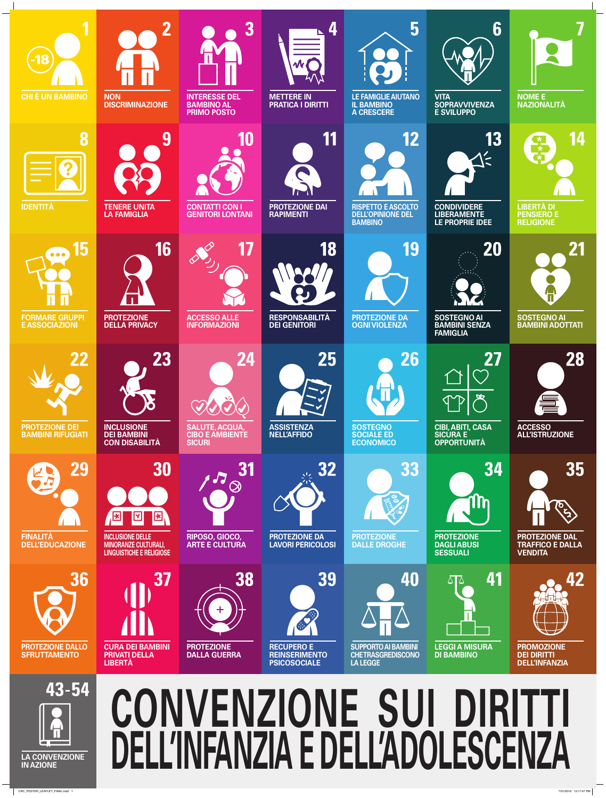

|                                                                                       | <b>CON DISABILITÀ</b>                                                                                                                                        | <b>SICURI</b>                                        |                                                                                        | <b>ECONOMICO</b>                                                                | <b>OPPORTUNITÀ</b>                                                           |                                                                          |
|---------------------------------------------------------------------------------------|--------------------------------------------------------------------------------------------------------------------------------------------------------------|------------------------------------------------------|----------------------------------------------------------------------------------------|---------------------------------------------------------------------------------|------------------------------------------------------------------------------|--------------------------------------------------------------------------|
| 29<br><b>FINALITÀ</b><br><b>DELL'EDUCAZIONE</b>                                       | 30<br>$ \mathbf{z} $<br>$\overline{\mathbf{R}}$<br>$\mathbf{E}$<br><b>INCLUSIONE DELLE</b><br><b>MINORANZE CULTURALI,</b><br><b>LINGUISTICHE E RELIGIOSE</b> | <b>31</b><br>RIPOSO, GIOCO,<br><b>ARTE E CULTURA</b> | 32<br><b>PROTEZIONE DA</b><br><b>LAVORI PERICOLOSI</b>                                 | 33<br><b>PROTEZIONE</b><br><b>DALLE DROGHE</b>                                  | 34<br><b>in</b><br><b>PROTEZIONE</b><br><b>DAGLIABUSI</b><br><b>SESSUALI</b> | 35<br><b>PROTEZIONE DAL</b><br><b>TRAFFICO E DALLA</b><br><b>VENDITA</b> |
| 36<br><b>PROTEZIONE DALLO</b><br><b>SFRUTTAMENTO</b>                                  | <b>CURA DEI BAMBINI</b><br><b>PRIVATI DELLA</b><br><b>LIBERTA</b>                                                                                            | 38<br><b>PROTEZIONE</b><br><b>DALLA GUERRA</b>       | 39<br><b>Allen</b><br><b>RECUPERO E</b><br><b>REINSERIMENTO</b><br><b>PSICOSOCIALE</b> | 40<br><b>SUPPORTO AI BAMBINI</b><br><b>CHETRASGREDISCONO</b><br><b>LA LEGGE</b> | 41<br><b>LEGGI A MISURA</b><br><b>DI BAMBINO</b>                             | <b>PROMOZIONE</b><br><b>DEI DIRITTI</b><br><b>DELL'INFANZIA</b>          |
| 43-54<br><b>LA CONVENZIONE</b><br><b>IN AZIONE</b><br>CRC_POSTER_LEAFLET_FINAL.indd 1 |                                                                                                                                                              |                                                      | CONVENZIONE SUI DIRITTI<br>DELL'INFANZIA E DELL'ADOLESCENZA                            |                                                                                 |                                                                              | 7/31/2019 12:17:47 PM                                                    |